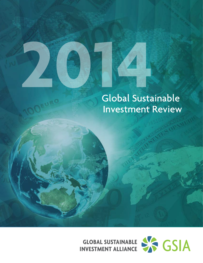## Global Sustainable **Investment Review**

**INVESTMENT ALLIANCE** 

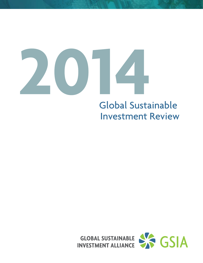

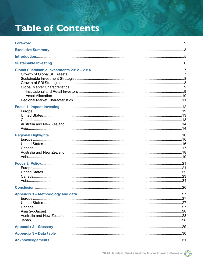## **Table of Contents**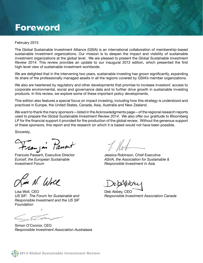## **Foreword**

#### February 2015

The Global Sustainable Investment Alliance (GSIA) is an international collaboration of membership-based sustainable investment organizations. Our mission is to deepen the impact and visibility of sustainable investment organizations at the global level. We are pleased to present the *Global Sustainable Investment Review 2014*. This review provides an update to our inaugural 2012 edition, which presented the first high-level view of sustainable investment worldwide.

We are delighted that in the intervening two years, sustainable investing has grown significantly, expanding its share of the professionally managed assets in all the regions covered by GSIA's member organizations.

We also are heartened by regulatory and other developments that promise to increase investors' access to corporate environmental, social and governance data and to further drive growth in sustainable investing products. In this review, we explore some of these important policy developments.

This edition also features a special focus on impact investing, including how this strategy is understood and practiced in Europe, the United States, Canada, Asia, Australia and New Zealand.

We want to thank the many sponsors—listed in the Acknowledgments page—of the regional research reports used to prepare the *Global Sustainable Investment Review 2014*. We also offer our gratitude to Bloomberg LP for the financial support it provided for the production of the global review. Without the generous support of these sponsors, this report and the research on which it is based would not have been possible.

Sincerely,

Franjoi Passart

Francois Passant, Executive Director *Eurosif, the European Sustainable Investment Forum*

N. Wre

Lisa Woll, CEO *US SIF: The Forum for Sustainable and Responsible Investment and the US SIF Foundation* 

 $\delta$ 

Simon O'Connor, CEO *Responsible Investment Association Australasia*

 $1.101$ 

Jessica Robinson, Chief Executive *ASrIA, the Association for Sustainable & Responsible Investment in Asia*

Deb Abbey, CEO *Responsible Investment Association Canada*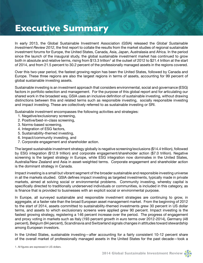## **Executive Summary**

In early 2013, the Global Sustainable Investment Association (GSIA) released the *Global Sustainable Investment Review 2012*, the first report to collate the results from the market studies of regional sustainable investment forums for Europe, the United States, Canada, Asia, Japan, Australasia and Africa. In the period since the launch of the inaugural study, the global sustainable investment market has continued to grow both in absolute and relative terms, rising from \$13.3 trillion<sup>1</sup> at the outset of 2012 to \$21.4 trillion at the start of 2014, and from 21.5 percent to 30.2 percent of the professionally managed assets in the regions covered.

Over this two-year period, the fastest growing region has been the United States, followed by Canada and Europe. These three regions are also the largest regions in terms of assets, accounting for 99 percent of global sustainable investing assets.

Sustainable investing is an investment approach that considers environmental, social and governance (ESG) factors in portfolio selection and management. For the purpose of this global report and for articulating our shared work in the broadest way, GSIA uses an inclusive definition of sustainable investing, without drawing distinctions between this and related terms such as responsible investing, socially responsible investing and impact investing. These are collectively referred to as sustainable investing or SRI.

Sustainable investment encompasses the following activities and strategies:

- 1. Negative/exclusionary screening,
- 2. Positive/best-in-class screening,
- 3. Norms-based screening,
- 4. Integration of ESG factors,
- 5. Sustainability-themed investing,
- 6. Impact/community investing, and
- 7. Corporate engagement and shareholder action.

The largest sustainable investment strategy globally is negative screening/exclusions (\$14.4 trillion), followed by ESG integration (\$12.9 trillion) and corporate engagement/shareholder action (\$7.0 trillion). Negative screening is the largest strategy in Europe, while ESG integration now dominates in the United States, Australia/New Zealand and Asia in asset-weighted terms. Corporate engagement and shareholder action is the dominant strategy in Canada.

Impact investing is a small but vibrant segment of the broader sustainable and responsible investing universe in all the markets studied. GSIA defines impact investing as targeted investments, typically made in private markets, aimed at solving social or environmental problems. Community investing, whereby capital is specifically directed to traditionally underserved individuals or communities, is included in this category, as is finance that is provided to businesses with an explicit social or environmental purpose.

In Europe, all surveyed sustainable and responsible investment strategies are continuing to grow, in aggregate, at a faster rate than the broad European asset management market. From the beginning of 2012 to the start of 2014, assets committed to sustainability-themed investments grew 30 percent in US dollar terms, and assets to which exclusionary screens were applied grew 90 percent. Impact investing is the fastest growing strategy, registering a 146 percent increase over the period. The progress of engagement and proxy voting in markets such as Italy (193 percent growth in euro terms over 2012-2014), Germany (48 percent), Belgium (94 percent), Scandinavia and Switzerland signals changes in attitudes toward stewardship among European investors.

In the United States, sustainable investing—after accounting for a fairly consistent 10-12 percent share of the overall market of professionally managed assets in the United States for the past decade—took a

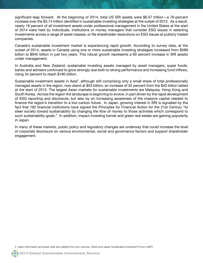significant leap forward. At the beginning of 2014, total US SRI assets were \$6.57 trillion—a 76-percent increase over the \$3.74 trillion identified in sustainable investing strategies at the outset of 2012. As a result, nearly 18 percent of all investment assets under professional management in the United States at the start of 2014 were held by individuals, institutions or money managers that consider ESG issues in selecting investments across a range of asset classes, or file shareholder resolutions on ESG issues at publicly traded companies.

Canada's sustainable investment market is experiencing rapid growth. According to survey data, at the outset of 2014, assets in Canada using one or more sustainable investing strategies increased from \$589 billion to \$945 billion in just two years. This robust growth represents a 60 percent increase in SRI assets under management.

In Australia and New Zealand, sustainable investing assets managed by asset managers, super funds, banks and advisers continued to grow strongly due both to strong performance and increasing fund inflows, rising 34 percent to reach \$180 billion.

Sustainable investment assets in Asia<sup>2</sup>, although still comprising only a small share of total professionally managed assets in the region, now stand at \$53 billion, an increase of 32 percent from the \$40 billion tallied at the start of 2012. The largest Asian markets for sustainable investments are Malaysia, Hong Kong and South Korea. Across the region the landscape is beginning to evolve, in part driven by the rapid development of ESG reporting and disclosure, but also by an increasing awareness of the massive capital needed to finance the region's transition to a low-carbon future. In Japan, growing interest in SRI is signalled by the fact that 192 financial institutions have signed the Principles for Financial Action for the 21st Century "to steer society toward sustainability by changing the flow of money to those activities which correspond to such sustainability goals." In addition, impact investing bonds and green real estate are gaining popularity in Japan.

In many of these markets, public policy and regulatory changes are underway that could increase the level of corporate disclosure on various environmental, social and governance factors and support shareholder engagement.

2. Asian information and asset data are collated from two sources, ASrIA and Japan Sustainable Investment Forum (JSIF).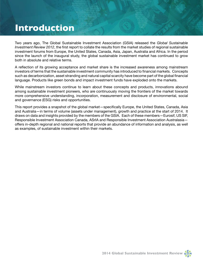## **Introduction**

Two years ago, The Global Sustainable Investment Association (GSIA) released the *Global Sustainable Investment Review 2012*, the first report to collate the results from the market studies of regional sustainable investment forums from Europe, the United States, Canada, Asia, Japan, Australia and Africa. In the period since the launch of the inaugural study, the global sustainable investment market has continued to grow both in absolute and relative terms.

A reflection of its growing acceptance and market share is the increased awareness among mainstream investors of terms that the sustainable investment community has introduced to financial markets. Concepts such as decarbonization, asset stranding and natural capital scarcity have become part of the global financial language. Products like green bonds and impact investment funds have exploded onto the markets.

While mainstream investors continue to learn about these concepts and products, innovations abound among sustainable investment pioneers, who are continuously moving the frontiers of the market towards more comprehensive understanding, incorporation, measurement and disclosure of environmental, social and governance (ESG) risks and opportunities.

This report provides a snapshot of the global market—specifically Europe, the United States, Canada, Asia and Australia—in terms of volume (assets under management), growth and practice at the start of 2014. It draws on data and insights provided by the members of the GSIA. Each of these members—Eurosif, US SIF, Responsible Investment Association Canada, ASrIA and Responsible Investment Association Australasia offers in-depth regional and national reports that provide an abundance of information and analysis, as well as examples, of sustainable investment within their markets.

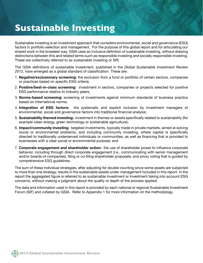## **Sustainable Investing**

Sustainable investing is an investment approach that considers environmental, social and governance (ESG) factors in portfolio selection and management. For the purpose of this global report and for articulating our shared work in the broadest way, GSIA uses an inclusive definition of sustainable investing, without drawing distinctions between this and related terms such as responsible investing and socially responsible investing. These are collectively referred to as sustainable investing or SRI.

The GSIA definitions of sustainable investment, published in the *Global Sustainable Investment Review 2012*, have emerged as a global standard of classification. These are:

- 1. **Negative/exclusionary screening:** the exclusion from a fund or portfolio of certain sectors, companies or practices based on specific ESG criteria;
- 2. **Positive/best-in-class screening:** investment in sectors, companies or projects selected for positive ESG performance relative to industry peers;
- 3. **Norms-based screening:** screening of investments against minimum standards of business practice based on international norms;
- 4. **Integration of ESG factors:** the systematic and explicit inclusion by investment managers of environmental, social and governance factors into traditional financial analysis;
- 5. **Sustainability themed investing:** investment in themes or assets specifically related to sustainability (for example clean energy, green technology or sustainable agriculture);
- 6. **Impact/community investing:** targeted investments, typically made in private markets, aimed at solving social or environmental problems, and including community investing, where capital is specifically directed to traditionally underserved individuals or communities, as well as financing that is provided to businesses with a clear social or environmental purpose; and
- 7. **Corporate engagement and shareholder action:** the use of shareholder power to influence corporate behavior, including through direct corporate engagement (i.e., communicating with senior management and/or boards of companies), filing or co-filing shareholder proposals, and proxy voting that is guided by comprehensive ESG guidelines.

The sum of these individual strategies, after adjusting for double counting since some assets are subjected to more than one strategy, results in the sustainable assets under management included in this report. In the report the aggregated figure is referred to as sustainable investment or investment taking into account ESG concerns, without making a judgment about the quality or depth of the process applied.

The data and information used in this report is provided by each national or regional Sustainable Investment Forum (SIF) and collated by GSIA. Refer to Appendix 1 for more information on the methodology.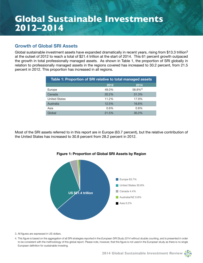## **Global Sustainable Investments 2012–2014**

#### **Growth of Global SRI Assets**

Global sustainable investment assets have expanded dramatically in recent years, rising from \$13.3 trillion<sup>3</sup> at the outset of 2012 to reach a total of \$21.4 trillion at the start of 2014. This 61 percent growth outpaced the growth in total professionally managed assets. As shown in Table 1, the proportion of SRI globally in relation to professionally managed assets in the regions covered has increased to 30.2 percent, from 21.5 percent in 2012. This proportion has increased in all regions.

| Table 1: Proportion of SRI relative to total managed assets |       |                    |  |  |
|-------------------------------------------------------------|-------|--------------------|--|--|
|                                                             | 2012  | 2014               |  |  |
| Europe                                                      | 49.0% | 58.8% <sup>4</sup> |  |  |
| Canada                                                      | 20.2% | 31.3%              |  |  |
| <b>United States</b>                                        | 11.2% | 17.9%              |  |  |
| Australia                                                   | 12.5% | 16.6%              |  |  |
| Asia                                                        | 0.6%  | 0.8%               |  |  |
| Global                                                      | 21.5% | 30.2%              |  |  |

Most of the SRI assets referred to in this report are in Europe (63.7 percent), but the relative contribution of the United States has increased to 30.8 percent from 28.2 percent in 2012.



**Figure 1: Proportion of Global SRI Assets by Region**

3. All figures are expressed in US dollars.

4. This figure is based on the aggregation of all SRI strategies reported in the *European SRI Study 2014* without double counting, and is presented in order to be consistent with the methodology of this global report. Please note, however, that this figure is not used in the European study as there is no single European definition for sustainable investing.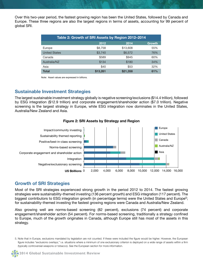Over this two-year period, the fastest growing region has been the United States, followed by Canada and Europe. These three regions are also the largest regions in terms of assets, accounting for 99 percent of global SRI.

| Table 2: Growth of SRI Assets by Region 2012-2014 |          |          |               |  |
|---------------------------------------------------|----------|----------|---------------|--|
|                                                   | 2012     | 2014     | <b>Growth</b> |  |
| Europe                                            | \$8,758  | \$13,608 | 55%           |  |
| <b>United States</b>                              | \$3,740  | \$6,572  | 76%           |  |
| Canada                                            | \$589    | \$945    | 60%           |  |
| Australia/NZ                                      | \$134    | \$180    | 34%           |  |
| Asia                                              | \$40     | \$53     | 32%           |  |
| <b>Total</b>                                      | \$13,261 | \$21,358 | 61%           |  |

Note: Asset values are expressed in billions.

#### **Sustainable Investment Strategies**

The largest sustainable investment strategy globally is negative screening/exclusions (\$14.4 trillion), followed by ESG integration (\$12.9 trillion) and corporate engagement/shareholder action (\$7.0 trillion). Negative screening is the largest strategy in Europe, while ESG integration now dominates in the United States, Australia/New Zealand and Asia.



**Figure 2: SRI Assets by Strategy and Region** 

#### **Growth of SRI Strategies**

Most of the SRI strategies experienced strong growth in the period 2012 to 2014. The fastest growing strategies were sustainability-themed investing (136 percent growth) and ESG integration (117 percent). The biggest contributors to ESG integration growth (in percentage terms) were the United States and Europe<sup>5</sup>; for sustainability-themed investing the fastest growing regions were Canada and Australia/New Zealand.

Also growing well are norms-based screening (82 percent), exclusions (74 percent) and corporate engagement/shareholder action (54 percent). For norms-based screening, traditionally a strategy confined to Europe, much of the growth originates in Canada, although Europe still has most of the assets in this strategy.

<sup>5.</sup> Note that in Europe, exclusions mandated by legislation are not counted. If these were included the figure would be higher. However, the European figure includes "exclusions overlays," i.e. situations where a minimum of one exclusionary criterion is deployed on a wide range of assets within a firm (typically controversial weapons or tobacco). See the European section for more information.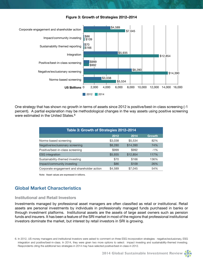



One strategy that has shown no growth in terms of assets since 2012 is positive/best-in-class screening (-1 percent). A partial explanation may be methodological changes in the way assets using positive screening were estimated in the United States.<sup>6</sup>

| Table 3: Growth of Strategies 2012-2014     |         |          |               |  |  |
|---------------------------------------------|---------|----------|---------------|--|--|
|                                             | 2012    | 2014     | <b>Growth</b> |  |  |
| Norms-based screening                       | \$3,038 | \$5,534  | 82%           |  |  |
| Negative/exclusionary screening             | \$8,280 | \$14,390 | 74%           |  |  |
| Positive/best-in-class screening            | \$999   | \$992    | $-1\%$        |  |  |
| <b>ESG</b> integration                      | \$5,935 | \$12,854 | 117%          |  |  |
| Sustainability-themed investing             | \$70    | \$166    | 136%          |  |  |
| Impact/community investing                  | \$86    | \$109    | 26%           |  |  |
| Corporate engagement and shareholder action | \$4,589 | \$7,045  | 54%           |  |  |

Note: Asset values are expressed in billions.

#### **Global Market Characteristics**

#### **Institutional and Retail Investors**

Investments managed by professional asset managers are often classified as retail or institutional. Retail assets are personal investments by individuals in professionally managed funds purchased in banks or through investment platforms. Institutional assets are the assets of large asset owners such as pension funds and insurers. It has been a feature of the SRI market in most of the regions that professional institutional investors dominate the market, but interest by retail investors in SRI is growing.

6. In 2012, US money managers and institutional investors were asked to comment on three ESG incorporation strategies: negative/exclusionary, ESG integration and positive/best-in-class. In 2014, they were given two more options to select: impact investing and sustainability-themed investing. Respondents citing the additional two strategies in 2014 may have selected positive/best-in-class in 2012.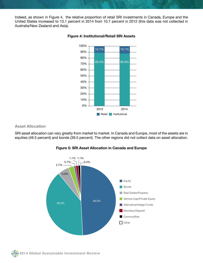Indeed, as shown in Figure 4, the relative proportion of retail SRI investments in Canada, Europe and the United States increased to 13.1 percent in 2014 from 10.7 percent in 2012 (this data was not collected in Australia/New Zealand and Asia).



#### **Figure 4: Institutional/Retail SRI Assets**

**Asset Allocation**

SRI asset allocation can vary greatly from market to market. In Canada and Europe, most of the assets are in equities (49.5 percent) and bonds (39.5 percent). The other regions did not collect data on asset allocation.



#### **Figure 5: SRI Asset Allocation in Canada and Europe**

**10 2014 Global Sustainable Investment Review**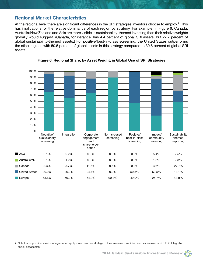#### **Regional Market Characteristics**

At the regional level there are significant differences in the SRI strategies investors choose to employ.<sup>7</sup> This has implications for the relative dominance of each region by strategy. For example, in Figure 6, Canada, Australia/New Zealand and Asia are more visible in sustainability-themed investing than their relative weights globally would suggest. (Canada, for instance, has 4.4 percent of global SRI assets, but 27.7 percent of global sustainability-themed assets.) For positive/best-in-class screening, the United States outperforms the other regions with 50.5 percent of global assets in this strategy compared to 30.8 percent of global SRI assets.



**Figure 6: Regional Share, by Asset Weight, in Global Use of SRI Strategies**

7. Note that in practice, asset managers often apply more than one strategy to their investment vehicles, such as exclusions with ESG Integration and/or engagement.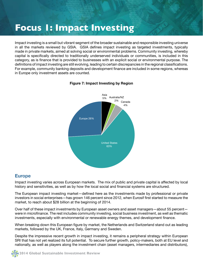## **Focus 1: Impact Investing**

Impact investing is a small but vibrant segment of the broader sustainable and responsible investing universe in all the markets reviewed by GSIA. GSIA defines impact investing as targeted investments, typically made in private markets, aimed at solving social or environmental problems. Community investing, whereby capital is specifically directed to traditionally underserved individuals or communities, is included in this category, as is finance that is provided to businesses with an explicit social or environmental purpose. The definitions of impact investing are still evolving, leading to certain discrepancies in the regional classifications. For example, community banking deposits and development finance are included in some regions, whereas in Europe only investment assets are counted.



#### **Figure 7: Impact Investing by Region**

#### **Europe**

Impact investing varies across European markets. The mix of public and private capital is affected by local history and sensitivities, as well as by how the local social and financial systems are structured.

The European impact investing market—defined here as the investments made by professional or private investors in social enterprises—has grown 146 percent since 2012, when Eurosif first started to measure the market, to reach about \$28 billion at the beginning of 2014.

Over half of these impact investments by European asset owners and asset managers—about 55 percent were in microfinance. The rest includes community investing, social business investment, as well as thematic investments, especially with environmental or renewable energy themes, and development finance.

When breaking down this European figure by market, the Netherlands and Switzerland stand out as leading markets, followed by the UK, France, Italy, Germany and Sweden.

Despite the impressive recent growth in impact investing, it remains a peripheral strategy within European SRI that has not yet realized its full potential. To secure further growth, policy-makers, both at EU level and nationally, as well as players along the investment chain (asset managers, intermediaries and distributors),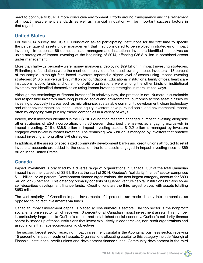need to continue to build a more conducive environment. Efforts around transparency and the refinement of impact measurement standards as well as financial innovation will be important success factors in that regard.

#### **United States**

For the 2014 survey, the US SIF Foundation asked participating institutions for the first time to specify the percentage of assets under management that they considered to be involved in strategies of impact investing. In response, 86 domestic asset managers and institutional investors identified themselves as using strategies of impact investing at the beginning of 2014, affecting \$36.8 billion in combined assets under management.

More than half—52 percent—were money managers, deploying \$29 billion in impact investing strategies. Philanthropic foundations were the most commonly identified asset-owning impact investors—18 percent of the sample—although faith-based investors reported a higher level of assets using impact investing strategies: \$1.3 billion versus \$795 million by foundations. Educational institutions, family offices, healthcare institutions, public funds and other nonprofit organizations were among the other kinds of institutional investors that identified themselves as using impact investing strategies in more limited ways.

Although the terminology of "impact investing" is relatively new, the practice is not. Numerous sustainable and responsible investors have long pursued social and environmental outcomes across asset classes by investing proactively in areas such as microfinance, sustainable community development, clean technology and other environmental solutions. Listed equity investors have pursued social and environmental impact, often by engaging with publicly traded companies in a variety of ways.

Indeed, most investors identified in the US SIF Foundation research engaged in impact investing alongside other strategies of ESG incorporation; only 36 percent described themselves as engaging exclusively in impact investing. Of the \$36.8 billion in impact investing assets, \$12.2 billion is managed by investors engaged exclusively in impact investing. The remaining \$24.6 billion is managed by investors that practice impact investing among other SRI strategies.

In addition, if the assets of specialized community development banks and credit unions attributed to retail investors' accounts are added to the equation, the total assets engaged in impact investing rises to \$69 billion in the United States.

#### **Canada**

Impact investment is practiced by a diverse range of organizations in Canada. Out of the total Canadian impact investment assets of \$3.9 billion at the start of 2014, Québec's "solidarity finance" sector comprises \$1.1 billion, or 28 percent. Development finance organizations, the next largest category, account for \$893 million, or 23 percent. This category primarily consists of Québec venture capital institutions but also some self-described development finance funds. Credit unions are the third largest player, with assets totalling \$653 million.

The vast majority of Canadian impact investments—94 percent—are made directly into companies, as opposed to indirect investments via funds.

Canadian impact investment capital is placed across numerous sectors. The top sector is the nonprofit/ social enterprise sector, which receives 43 percent of all Canadian impact investment assets. This number is particularly large due to Québec's robust and established social economy. Québec's solidarity finance sector is "made up of those institutions that invest exclusively in cooperatives, non-profit organizations and associations that have socioeconomic objectives."

The second largest sector receiving impact investment capital is the Aboriginal business sector, receiving 15 percent of impact investment assets. Organizations allocating capital to this category include Aboriginal Financial Institutions, credit unions and development finance funds. Community development is the third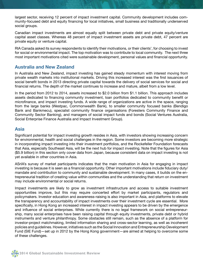largest sector, receiving 12 percent of impact investment capital. Community development includes community-focused debt and equity financing for local initiatives, small business and traditionally underserved social groups.

Canadian impact investments are almost equally split between private debt and private equity/venture capital asset classes. Whereas 48 percent of impact investment assets are private debt, 47 percent are private equity or venture capital.

RIA Canada asked its survey respondents to identify their motivations, or their clients', for choosing to invest for social or environmental impact. The top motivation was to contribute to local community. The next three most important motivations cited were sustainable development, personal values and financial opportunity.

#### **Australia and New Zealand**

In Australia and New Zealand, impact investing has gained steady momentum with interest moving from private wealth markets into institutional markets. Driving this increased interest was the first issuances of social benefit bonds in 2013 directing private capital towards the delivery of social services for social and financial returns. The depth of the market continues to increase and mature, albeit from a low level.

In the period from 2012 to 2014, assets increased to \$2.0 billion from \$1.1 billion. This approach includes assets dedicated to financing community investment, loan portfolios dedicated to community benefit or microfinance, and impact investing funds. A wide range of organizations are active in the space, ranging from the large banks (Westpac, Commonwealth Bank), to smaller community focused banks (Bendigo Bank and Bankmecu), specialist community finance organisations (Foresters Community Finance and Community Sector Banking), and managers of social impact funds and bonds (Social Ventures Australia, Social Enterprise Finance Australia and Impact Investment Group).

#### **Asia**

Significant potential for impact investing growth resides in Asia, with investors showing increasing concern for environmental, health and social challenges in the region. Some investors are becoming more strategic in incorporating impact investing into their investment portfolios, and the Rockefeller Foundation forecasts that Asia, especially Southeast Asia, will be the next hub for impact investing. Note that the figures for Asia (\$5.9 billion) in this section only cover data from Japan, because consistent data on impact investing is not yet available in other countries in Asia.

ASrIA's survey of market participants indicates that the main motivation in Asia for engaging in impact investing is because it is seen as a financial opportunity. Other important motivations include fiduciary duty/ mandate and contribution to community and sustainable development. In many cases, it builds on the entrepreneurial tradition of creating value within communities and the understanding that return on investment may include environmental or social returns.

Impact investments are likely to grow as investment infrastructure and access to suitable investment opportunities improve, but this may require concerted effort by market participants, regulators and policymakers. Investor education and awareness-raising is also important in Asia, and platforms to elevate the transparency and accountability of impact investments over their investment cycle are essential. More specifically, in Hong Kong an increased interest in impact investing appears to be driven by the emergence and influence of social enterprises. While currently there is no legal framework on social entrepreneurship, many social enterprises have been raising capital through equity investments, private debt or hybrid instruments and venture philanthropy. Some obstacles still remain, such as the absence of a platform for investor-project matchmaking, limited information sharing and cross-sector learning, as well as incoherent policies and guidelines. However, initiatives such as the Social Innovation and Entrepreneurship Development Fund (SIE Fund)—set up in 2012 by the Hong Kong government—are aimed at helping to overcome some of these challenges.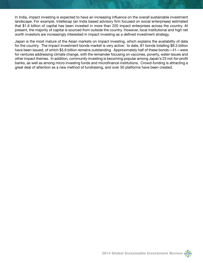In India, impact investing is expected to have an increasing influence on the overall sustainable investment landscape. For example, Intellecap (an India based advisory firm focused on social enterprises) estimated that \$1.6 billion of capital has been invested in more than 220 impact enterprises across the country. At present, the majority of capital is sourced from outside the country. However, local institutional and high net worth investors are increasingly interested in impact investing as a defined investment strategy.

Japan is the most mature of the Asian markets on impact investing, which explains the availability of data for the country. The impact investment bonds market is very active: to date, 81 bonds totalling \$9.3 billion have been issued, of which \$5.6 billion remains outstanding. Approximately half of these bonds—41—were for ventures addressing climate change, with the remainder focusing on vaccines, poverty, water issues and other impact themes. In addition, community investing is becoming popular among Japan's 23 not-for-profit banks, as well as among micro investing funds and microfinance institutions. Crowd-funding is attracting a great deal of attention as a new method of fundraising, and over 50 platforms have been created.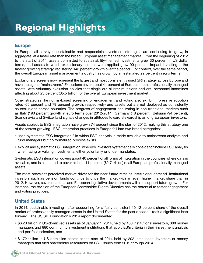## **Regional Highlights**

#### **Europe**

In Europe, all surveyed sustainable and responsible investment strategies are continuing to grow, in aggregate, at a faster rate than the broad European asset management market. From the beginning of 2012 to the start of 2014, assets committed to sustainability-themed investments grew 30 percent in US dollar terms, and assets to which exclusionary screens were applied grew 90 percent. Impact investing is the fastest growing strategy, registering 146 percent growth over the period. For context, over the same period, the overall European asset management industry has grown by an estimated 22 percent in euro terms.

Exclusionary screens now represent the largest and most consistently used SRI strategy across Europe and have thus gone "mainstream." Exclusions cover about 41 percent of European total professionally managed assets, with voluntary exclusion policies that single out cluster munitions and anti-personnel landmines affecting about 23 percent (\$5.5 trillion) of the overall European investment market.

Other strategies like norms-based screening or engagement and voting also exhibit impressive adoption rates (65 percent and 79 percent growth, respectively) and assets but are not deployed as consistently as exclusions across countries. The progress of engagement and voting in non-traditional markets such as Italy (193 percent growth in euro terms over 2012-2014), Germany (48 percent), Belgium (94 percent), Scandinavia and Switzerland signals changes in attitudes toward stewardship among European investors.

Assets subject to ESG integration have grown 74 percent since the start of 2012, making this strategy one of the fastest growing. ESG integration practices in Europe fall into two broad categories:

- "non-systematic ESG integration," in which ESG analysis is made available to mainstream analysts and fund managers but no formalized process exists.
- explicit and systematic ESG integration, whereby investors systematically consider or include ESG analysis when rating or valuing investments, either voluntarily or under mandates.

Systematic ESG integration covers about 40 percent of all forms of integration in the countries where data is available, and is estimated to cover at least 11 percent (\$2.7 trillion) of all European professionally managed assets.

The most prevalent perceived market driver for the near future remains institutional demand. Institutional investors such as pension funds continue to drive the market with an even higher market share than in 2012. However, several national and European legislative developments will also support future growth. For instance, the revision of the European Shareholder Rights Directive has the potential to foster engagement and voting practices.

#### **United States**

In 2014, sustainable investing—after accounting for a fairly consistent 10-12 percent share of the overall market of professionally managed assets in the United States for the past decade—took a significant leap forward. The US SIF Foundation's 2014 report documented:

- \$6.20 trillion in US-domiciled assets as of January 1, 2014, held by 480 institutional investors, 308 money managers and 880 community investment institutions that apply ESG criteria in their investment analysis and portfolio selection, and
- \$1.72 trillion in US-domiciled assets at the start of 2014 held by 202 institutional investors or money managers that filed shareholder resolutions on ESG issues from 2012 through 2014.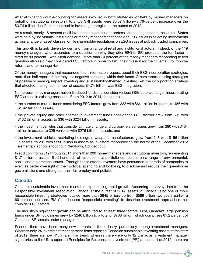After eliminating double-counting for assets involved in both strategies (or held by money managers on behalf of institutional investors), total US SRI assets were \$6.57 trillion—a 76-percent increase over the \$3.74 trillion identified in sustainable investing strategies at the outset of 2012.

As a result, nearly 18 percent of all investment assets under professional management in the United States were held by individuals, institutions or money managers that consider ESG issues in selecting investments across a range of asset classes, or file shareholder resolutions on ESG issues at publicly traded companies.

This growth is largely driven by demand from a range of retail and institutional actors. Indeed, of the 119 money managers who responded to a question on why they offer ESG or SRI products, the top factor cited by 80 percent—was client demand. More than 70 percent of the money managers responding to this question also said they considered ESG factors in order to fulfill their mission (or their clients'), to improve returns and to manage risk.

Of the money managers that responded to an information request about their ESG incorporation strategies, more than half reported that they use negative screening within their funds. Others reported using strategies of positive screening, impact investing and sustainability-themed investing. Yet the incorporation strategy that affected the highest number of assets, \$4.74 trillion, was ESG integration.

Numerous money managers have introduced funds that consider various ESG factors or begun incorporating ESG criteria in existing products. From 2012 to 2014, for example:

- the number of mutual funds considering ESG factors grew from 333 with \$641 billion in assets, to 456 with \$1.92 trillion in assets,
- the private equity and other alternative investment funds considering ESG factors grew from 301 with \$132 billion in assets, to 336 with \$224 billion in assets,
- the investment vehicles that consider climate change and carbon-related issues grew from 280 with \$134 billion in assets, to 325 vehicles with \$276 billion in assets, and
- the investment vehicles restricting holdings in weapons manufacturers grew from 248 with \$156 billion in assets, to 291 with \$590 billion in assets as investors responded to the horror of the December 2012 elementary school shooting in Newtown, Connecticut.

In addition, from 2012 through 2014, more than 200 money managers and institutional investors, representing \$1.7 trillion in assets, filed hundreds of resolutions at portfolio companies on a range of environmental, social and governance issues. Through these efforts, investors have persuaded hundreds of companies to exercise better oversight of their political spending and lobbying, to disclose and reduce their greenhouse gas emissions and strengthen their fair employment policies.

#### **Canada**

Canada's sustainable investment market is experiencing rapid growth. According to survey data from the Responsible Investment Association Canada, at the outset of 2014, assets in Canada using one or more responsible investing strategies totalled more than \$945 billion, up from \$589 billion two years earlier, a 60 percent increase. RIA Canada uses "responsible investing" to describe investment approaches that consider ESG factors.

The industry's significant growth can be attributed to at least three factors. First, Canada's large pension funds under SRI guidelines grew by \$246 billion to a total of \$768 billion, which comprises 81.2 percent of Canadian SRI assets under management.

Second, there have been many new entrants to the industry, particularly among investment managers. Whereas only 24 investment management firms reported Canadian sustainable investing assets at the start of 2012, there are now 41. In a similar trend, whereas there were only 12 Canadian investment manager signatories to the UN-supported Principles for Responsible Investment (PRI) at the start of 2012, there are

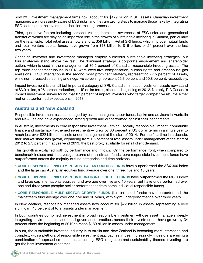now 29. Investment management firms now account for \$179 billion in SRI assets. Canadian investment managers are increasingly aware of ESG risks, and they are taking steps to manage those risks by integrating ESG factors into the investment decision-making process.

Third, qualitative factors including personal values, increased awareness of ESG risks, and generational transfer of wealth are playing an important role in the growth of sustainable investing in Canada, particularly on the retail side. Total retail assets now stand at \$58 billion. Retail SRI funds, which include mutual funds and retail venture capital funds, have grown from \$13 billion to \$16 billion, or 24 percent over the last two years.

Canadian investors and investment managers employ numerous sustainable investing strategies, but four strategies stand above the rest. The dominant strategy is corporate engagement and shareholder action, which is used in the management of 86.5 percent of Canadian responsible investing assets. The top three engagement issues in 2013 were executive compensation, human rights and greenhouse gas emissions. ESG integration is the second most prominent strategy, representing 77.5 percent of assets, while norms-based screening and negative screening represent 56.3 percent and 50.8 percent, respectively.

Impact investment is a small but important category of SRI. Canadian impact investment assets now stand at \$3.9 billion, a 26 percent reduction, in US dollar terms, since the beginning of 2012. Notably, RIA Canada's impact investment survey found that 87 percent of impact investors who target competitive returns either met or outperformed expectations in 2013.

#### **Australia and New Zealand**

Responsible investment assets managed by asset managers, super funds, banks and advisers in Australia and New Zealand have experienced strong growth and outperformed against their benchmarks.

In Australia, investments in core responsible investment—ethical, socially responsible, impact, community finance and sustainability-themed investments— grew by 30 percent in US dollar terms in a single year to reach just over \$22 billion in assets under management at the start of 2014. For the first time in a decade, their market share has grown, expanding from 1.6 percent of total assets under management at the start of 2012 to 2.3 percent in at year-end 2013, the best proxy available for retail client demand.

This growth is explained both by performance and inflows. On the performance front, when compared to benchmark indices and the average returns of mainstream funds, core responsible investment funds have outperformed across the majority of fund categories and time horizons:

- **CORE RESPONSIBLE INVESTMENT AUSTRALIAN EQUITIES FUNDS** have outperformed the ASX 300 index and the large cap Australian equities fund average over one, three, five and 10 years.
- **CORE RESPONSIBLE INVESTMENT INTERNATIONAL EQUITIES FUNDS** have outperformed the MSCI index and large cap international equities fund average over five and 10 years, but have underperformed over one and three years (despite stellar performances from some individual responsible funds).
- **CORE RESPONSIBLE MULTI-SECTOR GROWTH FUNDS** (i.e. balanced funds) have outperformed the mainstream fund average over one, five and 10 years, with slight underperformance over three years.

In New Zealand, responsibly managed assets now account for \$22 billion in assets, representing a very significant 40 percent of total assets under management.

In both countries combined, investment in broad responsible investment—those asset managers deeply integrating environmental, social and governance practices across their investments—have grown by 34 percent since the beginning of 2012 to reach \$180 billion in assets under management.

In sum, the sustainable investing industry in Australia and New Zealand is becoming more interesting and complex, with a plethora of responsible investment approaches in use. Increasingly, investors are using a combination of approaches—such as screening, ESG integration and sustainability-themed investing—to get the best investment outcomes.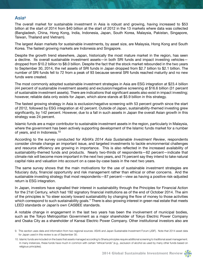#### **Asia9**

The overall market for sustainable investment in Asia is robust and growing, having increased to \$53 billion at the start of 2014 from \$40 billion at the start of 2012 in the 13 markets where data was collected (Bangladesh, China, Hong Kong, India, Indonesia, Japan, South Korea, Malaysia, Pakistan, Singapore, Taiwan, Thailand and Vietnam).

The largest Asian markets for sustainable investments, by asset size, are Malaysia, Hong Kong and South Korea. The fastest growing markets are Indonesia and Singapore.

Despite the growth trend elsewhere, Japan, historically the most mature market in the region, has seen a decline. Its overall sustainable investment assets—in both SRI funds and impact investing vehicles dropped from \$10.2 billion to \$8.0 billion. Despite the fact that the stock market rebounded in the two years to September 30, 2014, the net assets of SRI funds in Japan dropped from \$2.7 billion to \$2.1 billion. The number of SRI funds fell to 72 from a peak of 93 because several SRI funds reached maturity and no new funds were created.

The most commonly adopted sustainable investment strategies in Asia are ESG integration at \$23.4 billion (44 percent of sustainable investment assets) and exclusion/negative screening at \$16.6 billion (31 percent of sustainable investment assets). There are indications that significant assets also exist in impact investing; however, reliable data only exists for Japan, which alone stands at \$5.9 billion in this strategy.

The fastest growing strategy in Asia is exclusion/negative screening with 53 percent growth since the start of 2012, followed by ESG integration at 42 percent. Outside of Japan, sustainability-themed investing grew significantly, by 142 percent. However, due to a fall in such assets in Japan the overall Asian growth in this strategy was 24 percent.

Islamic funds are a major contributor to sustainable investment assets in the region, particularly in Malaysia, where the government has been actively supporting development of the Islamic funds market for a number of years, and in Indonesia.10

According to the survey conducted for ASrIA's *2014 Asia Sustainable Investment Review*, respondents consider climate change an important issue, and targeted investments to tackle environmental challenges and resource efficiency are growing in importance. This is also reflected in the increased availability of sustainability-themed funds and products. Nearly two-thirds of respondents—62 percent—indicate that climate risk will become more important in the next two years, and 74 percent say they intend to take natural capital risks and valuation into account on a case-by-case basis in the next two years.

The same survey shows that the main motivations for the use of sustainable investment strategies are fiduciary duty, financial opportunity and risk management rather than ethical or other concerns. And the sustainable investing strategy that most respondents—87 percent—view as having a positive risk-adjusted return is ESG integration.

In Japan, investors have signalled their interest in sustainability through the Principles for Financial Action for the 21st Century, which had 192 signatory financial institutions as of the end of October 2014. The aim of the principles is "to steer society toward sustainability by changing the flow of money to those activities which correspond to such sustainability goals." There is also growing interest in green real estate that meets LEED standards or Japan's own CASBEE standards.

A notable change in engagement in the last two years has been the involvement of municipal bodies, such as the Tokyo Metropolitan Government as a major shareholder of Tokyo Electric Power Company and Osaka City as a shareholder of Kansai Electric Power Company. Other institutional investors also are

<sup>9.</sup> This section uses data and information from two regional sources: ASrIA and Japan Sustainable Investment Forum (JSIF). Note that 2014 asset data for Japan used in this review is as of September 30.

<sup>10.</sup> Islamic funds are included on the basis that assets managed according to Sharia principles require additional screening to traditional asset management. In many instances, these funds have much in common with certain "ethical funds" (e.g., exclusion of alcohol as used by many other funds based on religious principles).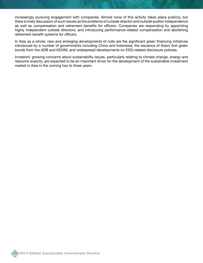increasingly pursuing engagement with companies. Almost none of this activity takes place publicly, but there is lively discussion of such issues as the problems of outside director and outside auditor independence as well as compensation and retirement benefits for officers. Companies are responding by appointing highly independent outside directors, and introducing performance-related compensation and abolishing retirement benefit systems for officers.

In Asia as a whole, new and emerging developments of note are the significant green financing initiatives introduced by a number of governments including China and Indonesia, the issuance of Asia's first green bonds from the ADB and KEXIM, and widespread developments on ESG-related disclosure policies.

Investors' growing concerns about sustainability issues, particularly relating to climate change, energy and resource scarcity, are expected to be an important driver for the development of the sustainable investment market in Asia in the coming two to three years.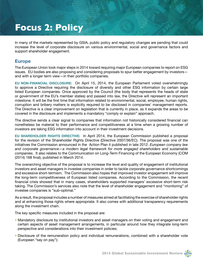## **Focus 2: Policy**

In many of the markets represented by GSIA, public policy and regulatory changes are pending that could increase the level of corporate disclosure on various environmental, social and governance factors and support shareholder engagement.

#### **Europe**

The European Union took major steps in 2014 toward requiring major European companies to report on ESG issues. EU bodies are also proposing and considering proposals to spur better engagement by investors and with a longer term view—in their portfolio companies.

**EU NON-FINANCIAL DISCLOSURE:** On April 15, 2014, the European Parliament voted overwhelmingly to approve a Directive requiring the disclosure of diversity and other ESG information by certain large listed European companies. Once approved by the Council (the body that represents the heads of state or government of the EU's member states) and passed into law, the Directive will represent an important milestone. It will be the first time that information related to environmental, social, employee, human rights, corruption and bribery matters is explicitly required to be disclosed in companies' management reports. The Directive is a clear improvement on legislation that is currently in place, as it expands the areas to be covered in the disclosure and implements a mandatory "comply or explain" approach.

The directive sends a clear signal to companies that information not historically considered financial can nonetheless be material to their performance and competitiveness at a time when a growing number of investors are taking ESG information into account in their investment decisions.

**EU SHAREHOLDER RIGHTS DIRECTIVE:** In April 2014, the European Commission published a proposal for the revision of the Shareholder Rights Directive (Directive 2007/36/EC). The proposal was one of the initiatives the Commission announced in the Action Plan it published in late 2012: *European company law and corporate governance—a modern legal framework for more engaged shareholders and sustainable companies*. It also relates to the Communication on Long-Term Financing of the European Economy (COM (2014) 168 final), published in March 2014.

The overarching objective of the proposal is to increase the level and quality of engagement of institutional investors and asset managers in investee companies in order to tackle corporate governance shortcomings and excessive short-termism. The Commission also hopes that improved investor engagement will improve the long-term competitiveness of European listed companies. According to the Commission, the recent financial crisis showed that in many cases, shareholders supported managers' excessive short-term risk taking. The Commission's services also note that the level of shareholder engagement and "monitoring" of investee companies is "sub-optimal."

As a result, the proposal includes a number of measures aimed at facilitating the exercise of shareholder rights and at enhancing those rights where appropriate. It also comes with additional transparency requirements along the investment chain.

The key specific measures included in the proposal are:

- Mandatory disclosure by institutional investors and asset managers on their voting and engagement and certain aspects of asset management arrangements, in particular around how they integrate long-term perspective and considerations into their investment policies;
- Disclosure of the remuneration policy and individual remunerations, combined with a shareholder vote (European "say on pay");

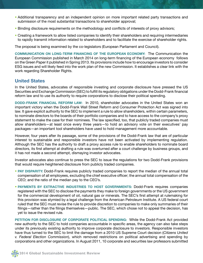- Additional transparency and an independent opinion on more important related party transactions and submission of the most substantial transactions to shareholder approval;
- Binding disclosure requirements on the methodology and conflicts of interests of proxy advisors;
- Creating a framework to allow listed companies to identify their shareholders and requiring intermediaries to rapidly transmit information related to shareholders and to facilitate the exercise of shareholder rights.

The proposal is being examined by the co-legislators (European Parliament and Council).

**COMMUNICATION ON LONG-TERM FINANCING OF THE EUROPEAN ECONOMY:** The Communication the European Commission published in March 2014 on long-term financing of the European economy follows on the Green Paper it published in Spring 2013. Its provisions include how to encourage investors to consider ESG issues and will likely feed into the work plan of the new Commission. It establishes a clear link with the work regarding Shareholder Rights.

#### **United States**

In the United States, advocates of responsible investing and corporate disclosure have pressed the US Securities and Exchange Commission (SEC) to fulfill its regulatory obligations under the Dodd-Frank financial reform law and to use its authority to require corporations to disclose their political spending.

**DODD-FRANK FINANCIAL REFORM LAW:** In 2010, shareholder advocates in the United States won an important victory when the Dodd-Frank Wall Street Reform and Consumer Protection Act was signed into law. It gave explicit authority to the SEC to implement a rule to allow shareholders, within certain parameters, to nominate directors to the boards of their portfolio companies and to have access to the company's proxy statement to make the case for their nominees. The law specified, too, that publicly traded companies must allow shareholders—at least once every three years—to hold an advisory vote on their executives' pay packages—an important tool shareholders have used to hold management more accountable.

However, four years after its passage, some of the provisions of the Dodd-Frank law that are of particular interest to sustainable and responsible investors have not been activated by implementing regulation. Although the SEC has the authority to draft a proxy access rule to enable shareholders to nominate board directors, its first attempt at drafting a rule was overturned after a court challenge by business groups, and it has not made a second attempt, dismaying investor advocates.

Investor advocates also continue to press the SEC to issue the regulations for two Dodd-Frank provisions that would require heightened disclosure from publicly traded companies.

- **PAY DISPARITY:** Dodd-Frank requires publicly traded companies to report the median of the annual total compensation of all employees, excluding the chief executive officer; the annual total compensation of the CEO; and the ratio of the median pay to the CEO's.
- **PAYMENTS BY EXTRACTIVE INDUSTRIES TO HOST GOVERNMENTS:** Dodd-Frank requires companies registered with the SEC to disclose the payments they make to foreign governments or the US government for the commercial development of oil, natural gas or minerals. The SEC's first attempt at rulemaking for this provision was stymied by a legal challenge from the American Petroleum Institute. A US federal court ruled that the SEC must revise the rule to provide discretion to companies to make only summaries of their filings—rather than the filings themselves—public. The SEC, which chose not to appeal the decision, has yet to issue the revised rule.

**PETITION FOR DISCLOSURE OF CORPORATE POLITICAL SPENDING:** While the Dodd-Frank Act provided new authority to the SEC to hold companies accountable in specific areas, the agency can also take steps under its previously existing authority to improve corporate disclosure to investors. Responsible investors have thus turned to the SEC to limit the damage from a 2010 US Supreme Court decision (*Citizens United v. Federal Election Commission*), which removed restrictions on political advertising and spending by corporations and other organizations. In August 2011, 10 corporate and securities law professors submitted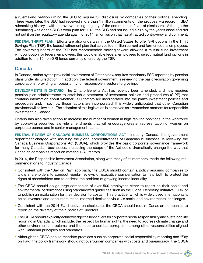a rulemaking petition urging the SEC to require full disclosure by companies of their political spending. Three years later, the SEC had received more than 1 million comments on the proposal—a record in SEC rulemaking history—with the overwhelming majority of the comments in favor of disclosure. Although the rulemaking was on the SEC's work plan for 2013, the SEC had not issued a rule by the year's close and did not put it on the regulatory agenda again for 2014, an omission that has attracted controversy and comment.

**FEDERAL THRIFT PLAN:** Efforts are also underway in the United States to offer SRI options in the Thrift Savings Plan (TSP), the federal retirement plan that serves four million current and former federal employees. The governing board of the TSP has recommended moving toward allowing a mutual fund investment window option for federal employees; this would enable federal employees to select mutual fund options in addition to the 10 non-SRI funds currently offered by the TSP.

#### **Canada**

In Canada, action by the provincial government of Ontario now requires mandatory ESG reporting by pension plans under its jurisdiction. In addition, the federal government is reviewing the basic legislation governing corporations, providing an opportunity for responsible investors to give input.

**DEVELOPMENTS IN ONTARIO:** The Ontario Benefits Act has recently been amended, and now requires pension plan administrators to establish a statement of investment policies and procedures (SIPP) that contains information about whether ESG factors are incorporated into the plan's investment policies and procedures and, if so, how those factors are incorporated. It is widely anticipated that other Canadian provinces will follow suit. The adoption of this legislation is perceived as a watershed moment for responsible investment in Canada.

Ontario has also taken action to increase the number of women in high-ranking positions in the workforce by approving securities law rule amendments that will encourage greater representation of women on corporate boards and in senior management teams.

**FEDERAL REVIEW OF CANADA'S BUSINESS CORPORATIONS ACT:** Industry Canada, the government department charged with assisting the global competitiveness of Canadian businesses, is reviewing the Canada Business Corporations Act (CBCA), which provides the basic corporate governance framework for many Canadian businesses. Increasing the scope of the Act could dramatically change the way that Canadian companies report on material ESG factors.

In 2014, the Responsible Investment Association, along with many of its members, made the following recommendations to Industry Canada:

- Consistent with the "Say on Pay" approach, the CBCA should contain a policy requiring companies to allow shareholders to conduct regular reviews of executive compensation to help both to protect the rights of shareholders and to address the problem of growing income inequality.
- The CBCA should oblige large companies of over 500 employees either to report on their social and environmental performance using standardized guidelines such as the Global Reporting Initiative (GRI), or to publish an explanation for their decision to abstain. This practice, which is widely used internationally, helps investors and consumers make informed decisions vis-a-vis social and environmental challenges.
- Consistent with the 2014 EU directive on disclosure, the CBCA should require Canadian companies to report on the diversity of their Boards of Directors.
- The CBCA should explicitly acknowledge the key drivers for corporate social responsibility and sustainability reporting in Canada, which include: the respect for human rights; the need to address climate change and other environmental problems; and the need to combat corruption, among other responsibilities aligned with Canadian principles and standards.
- Although the CBCA should mandate practices such as corporate social responsibility reporting and "Say on Pay," the policy framework should not overburden companies with costs and bureaucracy. The CBCA

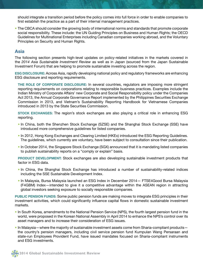should integrate a transition period before the policy comes into full force in order to enable companies to first establish the practice as a part of their internal management practices.

• The CBCA should consider the growing body of international norms and standards that promote corporate social responsibility. These include: the UN Guiding Principles on Business and Human Rights; the OECD Guidelines for Multinational Enterprises including Canadian companies working abroad, and the Voluntary Principles on Security and Human Rights.

#### **Asia**

The following section presents high-level updates on policy-related initiatives in the markets covered in the *2014 Asia Sustainable Investment Review* as well as in Japan (sourced from the Japan Sustainable Investment Forum) that are helping to promote sustainable investing across the region.

**ESG DISCLOSURE:** Across Asia, rapidly developing national policy and regulatory frameworks are enhancing ESG disclosure and reporting requirements.

**THE ROLE OF CORPORATE DISCLOSURE:** In several countries, regulators are imposing more stringent reporting requirements on corporations relating to responsible business practices. Examples include the Indian Ministry of Corporate Affairs' new Corporate and Social Responsibility policy under the Companies Act 2013, the Annual Corporate Governance Report implemented by the Philippines Securities Exchange Commission in 2013, and Vietnam's Sustainability Reporting Handbook for Vietnamese Companies introduced in 2013 by the State Securities Commission.

**STOCK EXCHANGES:** The region's stock exchanges are also playing a critical role in enhancing ESG reporting.

- In China, both the Shenzhen Stock Exchange (SZSE) and the Shanghai Stock Exchange (SSE) have introduced more comprehensive guidelines for listed companies.
- In 2012, Hong Kong Exchanges and Clearing Limited (HKEx) introduced the ESG Reporting Guidelines. The guidelines, which currently are voluntary, have been subject to consultation since their publication.
- In October 2014, the Singapore Stock Exchange (SGX) announced that it is mandating listed companies to publish sustainability reports on a "comply or explain" basis.

**PRODUCT DEVELOPMENT:** Stock exchanges are also developing sustainable investment products that factor in ESG data.

- In China, the Shanghai Stock Exchange has introduced a number of sustainability-related indices including the SSE Sustainable Development Index.
- In Malaysia, Bursa Malaysia launched an ESG Index in December 2014— FTSE4Good Bursa Malaysia (F4GBM) Index—intended to give it a competitive advantage within the ASEAN region in attracting global investors seeking exposure to socially responsible companies.

**PUBLIC PENSION FUNDS:** Some public pension funds are making moves to integrate ESG principles in their investment activities, which could significantly influence capital flows in domestic sustainable investment markets.

- In South Korea, amendments to the National Pension Service (NPS), the fourth largest pension fund in the world, were proposed in the Korean National Assembly in April 2014 to enhance the NPS's control over its asset managers and to increase their consideration of ESG issues.
- In Malaysia—where the majority of sustainable investment assets come from Sharia-compliant products the country's pension managers, including civil service pension fund Kumpulan Wang Persaraan and state-run Employees Provident Fund, have issued mandates focused on Sharia-compliant instruments and ESG investments.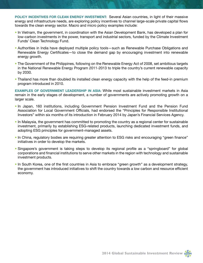**POLICY INCENTIVES FOR CLEAN ENERGY INVESTMENT:** Several Asian countries, in light of their massive energy and infrastructure needs, are exploring policy incentives to channel large-scale private capital flows towards the clean energy sector. Macro and micro policy examples include:

- In Vietnam, the government, in coordination with the Asian Development Bank, has developed a plan for low-carbon investments in the power, transport and industrial sectors, funded by the Climate Investment Funds' Clean Technology Fund.
- Authorities in India have deployed multiple policy tools—such as Renewable Purchase Obligations and Renewable Energy Certificates—to close the demand gap by encouraging investment into renewable energy growth.
- The Government of the Philippines, following on the Renewable Energy Act of 2008, set ambitious targets in the National Renewable Energy Program 2011-2013 to triple the country's current renewable capacity by 2030.
- Thailand has more than doubled its installed clean energy capacity with the help of the feed-in premium program introduced in 2010.

**EXAMPLES OF GOVERNMENT LEADERSHIP IN ASIA:** While most sustainable investment markets in Asia remain in the early stages of development, a number of governments are actively promoting growth on a larger scale.

- In Japan, 160 institutions, including Government Pension Investment Fund and the Pension Fund Association for Local Government Officials, had endorsed the "Principles for Responsible Institutional Investors" within six months of its introduction in February 2014 by Japan's Financial Services Agency.
- In Malaysia, the government has committed to promoting the country as a regional center for sustainable investment, primarily by establishing ESG-related products, launching dedicated investment funds, and adopting ESG principles for government-managed assets.
- In China, regulatory bodies are requiring greater attention to ESG risks and encouraging "green finance" initiatives in order to develop the markets.
- Singapore's government is taking steps to develop its regional profile as a "springboard" for global corporations and financial institutions to serve other markets in the region with technology and sustainable investment products.
- In South Korea, one of the first countries in Asia to embrace "green growth" as a development strategy, the government has introduced initiatives to shift the country towards a low carbon and resource efficient economy.

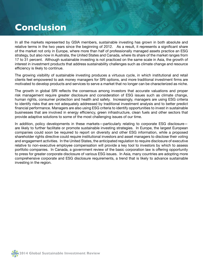## **Conclusion**

In all the markets represented by GSIA members, sustainable investing has grown in both absolute and relative terms in the two years since the beginning of 2012. As a result, it represents a significant share of the market not only in Europe, where more than half of professionally managed assets practice an ESG strategy, but also now in Australia, the United States and Canada, where its share of the market ranges from 17 to 31 percent. Although sustainable investing is not practiced on the same scale in Asia, the growth of interest in investment products that address sustainability challenges such as climate change and resource efficiency is likely to continue.

The growing visibility of sustainable investing produces a virtuous cycle, in which institutional and retail clients feel empowered to ask money managers for SRI options, and more traditional investment firms are motivated to develop products and services to serve a market that no longer can be characterized as niche.

The growth in global SRI reflects the consensus among investors that accurate valuations and proper risk management require greater disclosure and consideration of ESG issues such as climate change, human rights, consumer protection and health and safety. Increasingly, managers are using ESG criteria to identify risks that are not adequately addressed by traditional investment analysis and to better predict financial performance. Managers are also using ESG criteria to identify opportunities to invest in sustainable businesses that are involved in energy efficiency, green infrastructure, clean fuels and other sectors that provide adaptive solutions to some of the most challenging issues of our time.

In addition, policy developments in these markets—particularly relating to corporate ESG disclosure are likely to further facilitate or promote sustainable investing strategies. In Europe, the largest European companies could soon be required to report on diversity and other ESG information, while a proposed shareholder rights directive could require institutional investors and asset managers to disclose their voting and engagement activities. In the United States, the anticipated regulation to require disclosure of executive relative to non-executive employee compensation will provide a key tool to investors by which to assess portfolio companies. In Canada, a government review of the basic corporation law is offering opportunity to press for greater corporate disclosure of various ESG issues. In Asia, many countries are adopting more comprehensive corporate and ESG disclosure requirements, a trend that is likely to advance sustainable investing in the region.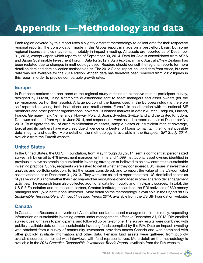## **Appendix 1—Methodology and data**

Each region covered by this report uses a slightly different methodology to collect data for their respective regional reports. The consolidation made in this Global report is made on a best effort basis, but some regional inconsistencies may remain, notably in impact investing. All assets are reported as of December 31, 2013, except Japan which reports as of September 30, 2014. Data for Asia is consolidated from ASrIA and Japan Sustainable Investment Forum. Data for 2012 in Asia (ex-Japan) and Australia/New Zealand has been restated due to changes in methodology used. Readers should consult the regional reports for more detail on data and data collection methodologies. The 2012 Global report included data from Africa, but new data was not available for the 2014 edition. African data has therefore been removed from 2012 figures in this report in order to provide comparable growth rates.

#### **Europe**

In European markets the backbone of the regional study remains an extensive market participant survey, designed by Eurosif, using a template questionnaire sent to asset managers and asset owners (for the self-managed part of their assets). A large portion of the figures used in the European study is therefore self-reported, covering both institutional and retail assets. Eurosif, in collaboration with its national SIF members and other partner organizations, covered 13 distinct markets in detail: Austria, Belgium, Finland, France, Germany, Italy, Netherlands, Norway, Poland, Spain, Sweden, Switzerland and the United Kingdom. Data was collected from April to June 2014, and respondents were asked to report data as of December 31, 2013. To mitigate the risk of error, misallocation of assets, sample biases or insufficient market coverage, Eurosif and its partners have exercised due diligence on a best-effort basis to maintain the highest possible data integrity and quality. More detail on the methodology is available in the *European SRI Study 2014,*  available from the Eurosif website.

#### **United States**

In the United States, the US SIF Foundation, from May through July 2014, sent a confidential, personalized survey link by email to 479 investment management firms and 1,099 institutional asset owners identified in previous surveys as practicing sustainable investing strategies or believed to be new entrants to sustainable investing practice. Survey recipients were asked to detail whether they considered ESG issues in investment analysis and portfolio selection, to list the issues considered, and to report the value of the US-domiciled assets affected as of December 31, 2013. They were also asked to report their total US-domiciled assets as of year-end 2013 and whether they filed shareholder resolutions or engaged in other shareholder engagement activities. The research team also collected additional data from public and third-party sources. In total, the US SIF Foundation and its research partner, Croatan Institute, researched the SRI activities of 630 money managers and 1,572 institutional investors. More detail on the methodology is available in the *Report on US Sustainable, Responsible and Impact Investing Trends 2014*, available from the US SIF Foundation website.

#### **Canada**

In Canada, the Responsible Investment Association contacted asset management firms directly, requesting information on sustainable investing assets under management, effective December 31, 2013. RIA emailed survey questionnaires to participants, and followed up by telephone. The survey results were combined with publicly available data on retail sustainable investing funds compiled by the RIA. Data on impact investing was obtained from a survey of community investment providers across Canada and was combined with other publicly available information and other data. Pension fund assets were gathered from publicly available sources combined with interviews with fund representatives. More detail on the methodology is available in the *2014 Canadian Responsible Investment Trends Report*, available from the RIA website.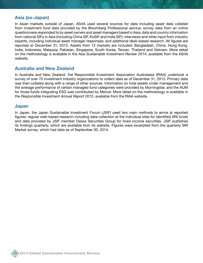#### **Asia (ex-Japan)**

In Asian markets outside of Japan, ASrIA used several sources for data including asset data collated from investment fund data provided by the Bloomberg Professional service; survey data from an online questionnaire responded to by asset owners and asset managers based in Asia; data and country information from national SIFs in Asia (including China SIF, KoSIF and India SIF); interviews and other input from industry experts, including individual asset manager responses; and additional desk-based research. All figures are reported at December 31, 2013. Assets from 12 markets are included: Bangladesh, China, Hong Kong, India, Indonesia, Malaysia, Pakistan, Singapore, South Korea, Taiwan, Thailand and Vietnam. More detail on the methodology is available in the *Asia Sustainable Investment Review 2014*, available from the ASrIA website.

#### **Australia and New Zealand**

In Australia and New Zealand, the Responsible Investment Association Australasia (RIAA) undertook a survey of over 70 investment industry organizations to collect data as of December 31, 2013. Primary data was then collated along with a range of other sources. Information on total assets under management and the average performance of certain managed fund categories were provided by Morningstar, and the AUM for those funds integrating ESG was contributed by Mercer. More detail on the methodology is available in the *Responsible Investment Annual Report 2013*, available from the RIAA website.

#### **Japan**

In Japan, the Japan Sustainable Investment Forum (JSIF) used two main methods to arrive at reported figures: regular web-based research including data collection at the individual sites for identified SRI funds and data provided by JSIF member Daiwa Securities Group for fixed income securities. JSIF publishes its findings quarterly, which are available from its website. Figures were excerpted from the quarterly SRI Market survey, which had data as of September 30, 2014.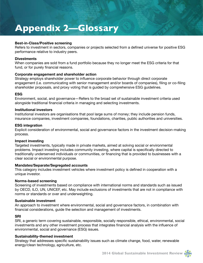## **Appendix 2—Glossary**

#### **Best-in-Class/Positive screening**

Refers to investment in sectors, companies or projects selected from a defined universe for positive ESG performance relative to industry peers.

#### **Divestments**

When companies are sold from a fund portfolio because they no longer meet the ESG criteria for that fund, or for purely financial reasons.

#### **Corporate engagement and shareholder action**

Strategy employs shareholder power to influence corporate behavior through direct corporate engagement (i.e. communicating with senior management and/or boards of companies), filing or co-filing shareholder proposals, and proxy voting that is guided by comprehensive ESG guidelines.

#### **ESG**

Environment, social, and governance—Refers to the broad set of sustainable investment criteria used alongside traditional financial criteria in managing and selecting investments.

#### **Institutional investors**

Institutional investors are organisations that pool large sums of money; they include pension funds, insurance companies, investment companies, foundations, charities, public authorities and universities.

#### **ESG integration**

Explicit consideration of environmental, social and governance factors in the investment decision-making process.

#### **Impact investing**

Targeted investments, typically made in private markets, aimed at solving social or environmental problems. Impact investing includes community investing, where capital is specifically directed to traditionally underserved individuals or communities, or financing that is provided to businesses with a clear social or environmental purpose.

#### **Mandates/Separate/Segregated accounts**

This category includes investment vehicles where investment policy is defined in cooperation with a unique investor.

#### **Norms-based screening**

Screening of investments based on compliance with international norms and standards such as issued by OECD, ILO, UN, UNICEF, etc. May include exclusions of investments that are not in compliance with norms or standards or over and underweighting.

#### **Sustainable investment**

An approach to investment where environmental, social and governance factors, in combination with financial considerations, guide the selection and management of investments.

#### **SRI**

SRI, a generic term covering sustainable, responsible, socially responsible, ethical, environmental, social investments and any other investment process that integrates financial analysis with the influence of environmental, social and governance (ESG) issues.

#### **Sustainability-themed investment**

Strategy that addresses specific sustainability issues such as climate change, food, water, renewable energy/clean technology, agriculture, etc.

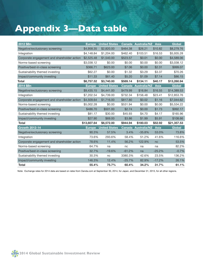## **Appendix 3—Data table**

| 2012 \$Bn                                   | <b>Europe</b> | <b>United States</b> | Canada        | <b>Australia/NZ</b> | <b>Asia</b> | <b>Global</b> |
|---------------------------------------------|---------------|----------------------|---------------|---------------------|-------------|---------------|
| Negative/exclusionary screening             | \$4,958.35    | \$2,820.00           | \$464.38      | \$26.21             | \$10.82     | \$8,279.76    |
| Integration                                 | \$4,148.84    | \$1,204.00           | \$462.40      | \$103.51            | \$16.53     | \$5,935.28    |
| Corporate engagement and shareholder action | \$2,525.48    | \$1,540.00           | \$523.57      | \$0.01              | \$0.00      | \$4,589.06    |
| Norms-based screening                       | \$3,038.12    | \$0.00               | \$0.00        | \$0.00              | \$0.00      | \$3,038.12    |
| Positive/best-in-class screening            | \$366.71      | \$623.00             | \$7.06        | \$0.00              | \$2.31      | \$999.07      |
| Sustainability themed investing             | \$62.27       | \$0.00               | \$1.32        | \$3.29              | \$3.37      | \$70.26       |
| Impact/community investing                  | \$11.33       | \$61.40              | \$5.20        | \$1.09              | \$7.14      | \$86.15       |
| Total                                       | \$8,757.52    | \$3,740.00           | \$589.14      | \$134.11            | \$40.17     | \$13,260.94   |
| 2014 \$Bn                                   | <b>Europe</b> | <b>United States</b> |               | Canada Australia/NZ | Asia        | <b>Global</b> |
| Negative/exclusionary screening             | \$9,435.15    | \$4,441.00           | \$479.99      | \$16.84             | \$16.55     | \$14,389.53   |
| Integration                                 | \$7,202.54    | \$4,739.00           | \$732.34      | \$156.48            | \$23.41     | \$12,853.76   |
| Corporate engagement and shareholder action | \$4,509.64    | \$1,716.00           | \$817,80      | \$0.02              | \$1.16      | \$7,044.62    |
| Norms-based screening                       | \$5,002.28    | \$0.00               | \$531.94      | \$0.00              | \$0.00      | \$5,534.22    |
| Positive/best-in-class screening            | \$486.70      | \$501.00             | \$2.74        | \$0.00              | \$1.73      | \$992.17      |
| Sustainability themed investing             | \$81.17       | \$30.00              | \$45.93       | \$4.70              | \$4.17      | \$165.96      |
| Impact/community investing                  | \$27.90       | \$69.00              | \$3.86        | \$1.99              | \$5.91      | \$108.66      |
| <b>Total</b>                                | \$13,607.64   | \$6,572,00           | \$944.94      | \$180.03            | \$52.92     | \$21,357.53   |
| <b>Growth 2012-14</b>                       | <b>Europe</b> | <b>United States</b> | <b>Canada</b> | <b>Australia/NZ</b> | <b>Asia</b> | Global        |
| Negative/exclusionary screening             | 90.3%         | 57.5%                | 3.4%          | $-35.8%$            | 53.0%       | 73.8%         |
| Integration                                 | 73.6%         | 293.6%               | 58.4%         | 51.2%               | 41.6%       | 116.6%        |
| Corporate engagement and shareholder action | 78.6%         | 11.4%                | 56.2%         | 122.9%              | nc          | 53.5%         |
| Norms-based screening                       | 64.7%         | na                   | nc            | na                  | na          | 82.2%         |
| Positive/best-in-class screening            | 32.7%         | $-19.6%$             | $-61.2%$      | na                  | $-25.2%$    | $-0.7%$       |
| Sustainability themed investing             | 30.3%         | nc                   | 3380.3%       | 42.6%               | 23.5%       | 136.2%        |
| Impact/community investing                  | 146.3%        | 12.4%                | $-25.7%$      | 82.9%               | $-17.2%$    | 26.1%         |
| <b>Total</b>                                | 55.4%         | 75.7%                | 60.4%         | 34.2%               | 31.7%       | 61.1%         |

Note: Exchange rates for 2014 data are based on rates from Oanda.com at September 30, 2014, for Japan, and December 31, 2013, for all other regions.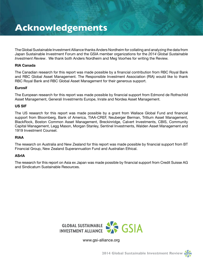## **Acknowledgements**

The Global Sustainable Investment Alliance thanks Anders Nordheim for collating and analyzing the data from Japan Sustainable Investment Forum and the GSIA member organizations for the *2014 Global Sustainable Investment Review*. We thank both Anders Nordheim and Meg Voorhes for writing the Review.

#### **RIA Canada**

The Canadian research for this report was made possible by a financial contribution from RBC Royal Bank and RBC Global Asset Management. The Responsible Investment Association (RIA) would like to thank RBC Royal Bank and RBC Global Asset Management for their generous support.

#### **Eurosif**

The European research for this report was made possible by financial support from Edmond de Rothschild Asset Management, Generali Investments Europe, Inrate and Nordea Asset Management.

#### **US SIF**

The US research for this report was made possible by a grant from Wallace Global Fund and financial support from Bloomberg, Bank of America, TIAA-CREF, Neuberger Berman, Trillium Asset Management, BlackRock, Boston Common Asset Management, Breckinridge, Calvert Investments, CBIS, Community Capital Management, Legg Mason, Morgan Stanley, Sentinel Investments, Walden Asset Management and 1919 Investment Counsel.

#### **RIAA**

The research on Australia and New Zealand for this report was made possible by financial support from BT Financial Group, New Zealand Superannuation Fund and Australian Ethical.

#### **ASrIA**

The research for this report on Asia ex Japan was made possible by financial support from Credit Suisse AG and Sindicatum Sustainable Resources.



www.gsi-alliance.org